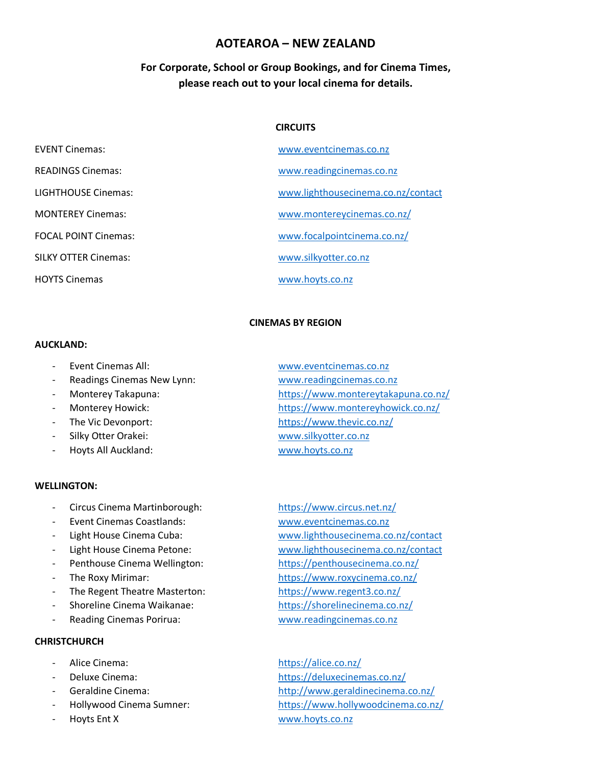# **AOTEAROA – NEW ZEALAND**

# **For Corporate, School or Group Bookings, and for Cinema Times, please reach out to your local cinema for details.**

### **CIRCUITS**

| <b>EVENT Cinemas:</b>       | www.eventcinemas.co.nz             |
|-----------------------------|------------------------------------|
| <b>READINGS Cinemas:</b>    | www.readingcinemas.co.nz           |
| LIGHTHOUSE Cinemas:         | www.lighthousecinema.co.nz/contact |
| <b>MONTEREY Cinemas:</b>    | www.montereycinemas.co.nz/         |
| <b>FOCAL POINT Cinemas:</b> | www.focalpointcinema.co.nz/        |
| <b>SILKY OTTER Cinemas:</b> | www.silkyotter.co.nz               |
| <b>HOYTS Cinemas</b>        | www.hovts.co.nz                    |

### **CINEMAS BY REGION**

#### **AUCKLAND:**

- 
- Readings Cinemas New Lynn: [www.readingcinemas.co.nz](http://www.readingcinemas.co.nz/)
- 
- 
- 
- 
- Hoyts All Auckland: [www.hoyts.co.nz](http://www.hoyts.co.nz/)

#### **WELLINGTON:**

- Circus Cinema Martinborough: <https://www.circus.net.nz/>
- 
- 
- 
- 
- 
- The Regent Theatre Masterton: <https://www.regent3.co.nz/>
- 
- 

#### **CHRISTCHURCH**

- 
- 
- 
- 
- 
- Event Cinemas All: [www.eventcinemas.co.nz](http://www.eventcinemas.co.nz/) Monterey Takapuna: <https://www.montereytakapuna.co.nz/> Monterey Howick: <https://www.montereyhowick.co.nz/> The Vic Devonport: <https://www.thevic.co.nz/> Silky Otter Orakei: [www.silkyotter.co.nz](http://www.silkyotter.co.nz/)
- Event Cinemas Coastlands: [www.eventcinemas.co.nz](http://www.eventcinemas.co.nz/) Light House Cinema Cuba: [www.lighthousecinema.co.nz/contact](https://www.lighthousecinema.co.nz/contact) - Light House Cinema Petone: [www.lighthousecinema.co.nz/contact](https://www.lighthousecinema.co.nz/contact) Penthouse Cinema Wellington: <https://penthousecinema.co.nz/> - The Roxy Mirimar: <https://www.roxycinema.co.nz/> - Shoreline Cinema Waikanae: <https://shorelinecinema.co.nz/> Reading Cinemas Porirua: [www.readingcinemas.co.nz](http://www.readingcinemas.co.nz/)

Alice Cinema: <https://alice.co.nz/> Deluxe Cinema: <https://deluxecinemas.co.nz/> - Geraldine Cinema: <http://www.geraldinecinema.co.nz/> - Hollywood Cinema Sumner: <https://www.hollywoodcinema.co.nz/> - Hoyts Ent X [www.hoyts.co.nz](http://www.hoyts.co.nz/)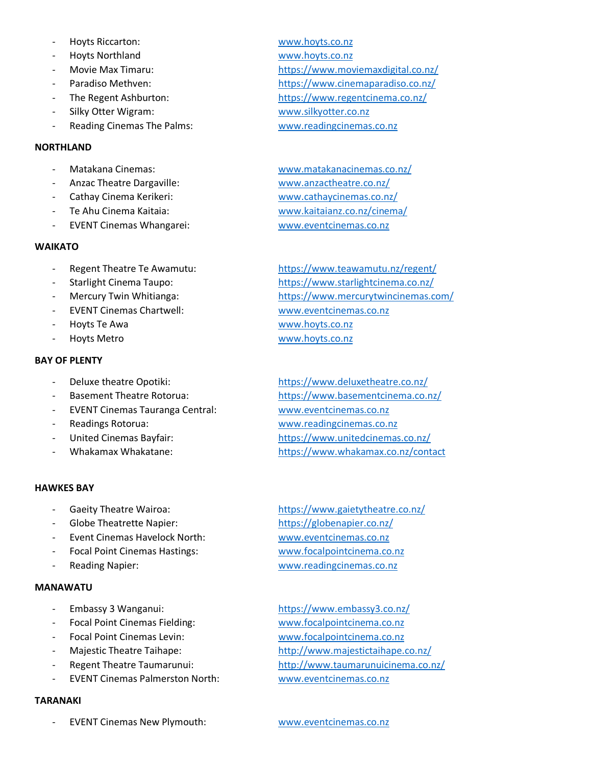- Hoyts Riccarton: [www.hoyts.co.nz](http://www.hoyts.co.nz/)
- 
- 
- 
- 
- 
- Reading Cinemas The Palms: [www.readingcinemas.co.nz](http://www.readingcinemas.co.nz/)

### **NORTHLAND**

- 
- 
- 
- 
- EVENT Cinemas Whangarei: [www.eventcinemas.co.nz](http://www.eventcinemas.co.nz/)

## **WAIKATO**

- 
- 
- 
- EVENT Cinemas Chartwell: [www.eventcinemas.co.nz](http://www.eventcinemas.co.nz/)
- 
- 

## **BAY OF PLENTY**

- 
- 
- EVENT Cinemas Tauranga Central: [www.eventcinemas.co.nz](http://www.eventcinemas.co.nz/)
- 
- 
- 

## **HAWKES BAY**

- 
- 
- Event Cinemas Havelock North: [www.eventcinemas.co.nz](http://www.eventcinemas.co.nz/)
- Focal Point Cinemas Hastings: [www.focalpointcinema.co.nz](http://www.focalpointcinema.co.nz/)
- 

## **MANAWATU**

- 
- Focal Point Cinemas Fielding: [www.focalpointcinema.co.nz](http://www.focalpointcinema.co.nz/)
- 
- 
- 
- EVENT Cinemas Palmerston North: [www.eventcinemas.co.nz](http://www.eventcinemas.co.nz/)

## **TARANAKI**

EVENT Cinemas New Plymouth: [www.eventcinemas.co.nz](http://www.eventcinemas.co.nz/)

- Hoyts Northland [www.hoyts.co.nz](http://www.hoyts.co.nz/) Movie Max Timaru: <https://www.moviemaxdigital.co.nz/> Paradiso Methven: <https://www.cinemaparadiso.co.nz/> The Regent Ashburton: <https://www.regentcinema.co.nz/> Silky Otter Wigram: [www.silkyotter.co.nz](http://www.silkyotter.co.nz/)

Matakana Cinemas: [www.matakanacinemas.co.nz/](https://www.matakanacinemas.co.nz/) - Anzac Theatre Dargaville: [www.anzactheatre.co.nz/](https://www.anzactheatre.co.nz/) - Cathay Cinema Kerikeri: [www.cathaycinemas.co.nz/](http://www.cathaycinemas.co.nz/) - Te Ahu Cinema Kaitaia: [www.kaitaianz.co.nz/cinema/](https://www.kaitaianz.co.nz/cinema/)

Regent Theatre Te Awamutu: <https://www.teawamutu.nz/regent/> - Starlight Cinema Taupo: <https://www.starlightcinema.co.nz/> Mercury Twin Whitianga: <https://www.mercurytwincinemas.com/> - Hoyts Te Awa [www.hoyts.co.nz](http://www.hoyts.co.nz/) - Hoyts Metro [www.hoyts.co.nz](http://www.hoyts.co.nz/)

Deluxe theatre Opotiki: <https://www.deluxetheatre.co.nz/> Basement Theatre Rotorua: <https://www.basementcinema.co.nz/> Readings Rotorua: [www.readingcinemas.co.nz](http://www.readingcinemas.co.nz/) United Cinemas Bayfair: <https://www.unitedcinemas.co.nz/> - Whakamax Whakatane: <https://www.whakamax.co.nz/contact>

Gaeity Theatre Wairoa: <https://www.gaietytheatre.co.nz/> - Globe Theatrette Napier: <https://globenapier.co.nz/> Reading Napier: [www.readingcinemas.co.nz](http://www.readingcinemas.co.nz/)

Embassy 3 Wanganui: <https://www.embassy3.co.nz/> Focal Point Cinemas Levin: [www.focalpointcinema.co.nz](http://www.focalpointcinema.co.nz/) Majestic Theatre Taihape: <http://www.majestictaihape.co.nz/> Regent Theatre Taumarunui: <http://www.taumarunuicinema.co.nz/>